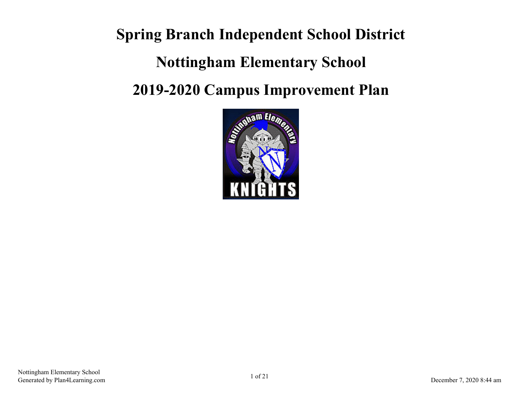**Spring Branch Independent School District Nottingham Elementary School 2019-2020 Campus Improvement Plan**

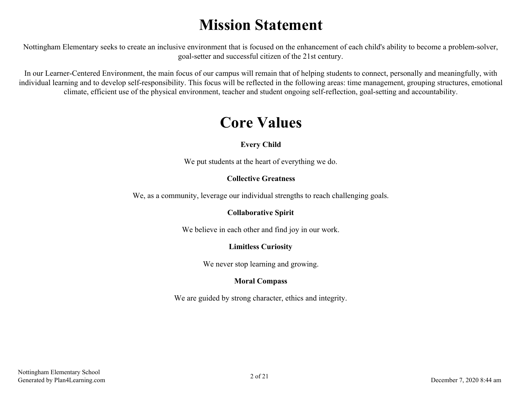# **Mission Statement**

Nottingham Elementary seeks to create an inclusive environment that is focused on the enhancement of each child's ability to become a problem-solver, goal-setter and successful citizen of the 21st century.

In our Learner-Centered Environment, the main focus of our campus will remain that of helping students to connect, personally and meaningfully, with individual learning and to develop self-responsibility. This focus will be reflected in the following areas: time management, grouping structures, emotional climate, efficient use of the physical environment, teacher and student ongoing self-reflection, goal-setting and accountability.

## **Core Values**

### **Every Child**

We put students at the heart of everything we do.

### **Collective Greatness**

We, as a community, leverage our individual strengths to reach challenging goals.

### **Collaborative Spirit**

We believe in each other and find joy in our work.

### **Limitless Curiosity**

We never stop learning and growing.

### **Moral Compass**

We are guided by strong character, ethics and integrity.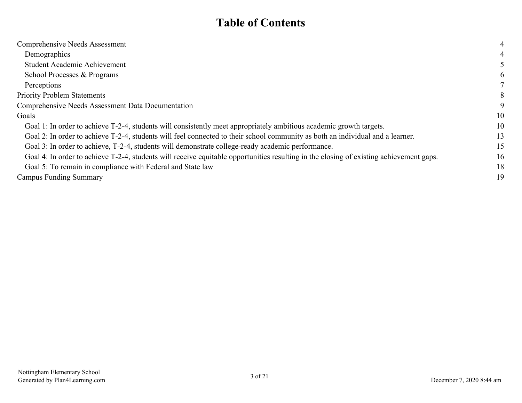## **Table of Contents**

| Comprehensive Needs Assessment                                                                                                          | 4  |
|-----------------------------------------------------------------------------------------------------------------------------------------|----|
| Demographics                                                                                                                            | 4  |
| Student Academic Achievement                                                                                                            |    |
| School Processes & Programs                                                                                                             | 6  |
| Perceptions                                                                                                                             |    |
| <b>Priority Problem Statements</b>                                                                                                      | 8  |
| <b>Comprehensive Needs Assessment Data Documentation</b>                                                                                | 9  |
| Goals                                                                                                                                   | 10 |
| Goal 1: In order to achieve T-2-4, students will consistently meet appropriately ambitious academic growth targets.                     | 10 |
| Goal 2: In order to achieve T-2-4, students will feel connected to their school community as both an individual and a learner.          | 13 |
| Goal 3: In order to achieve, T-2-4, students will demonstrate college-ready academic performance.                                       | 15 |
| Goal 4: In order to achieve T-2-4, students will receive equitable opportunities resulting in the closing of existing achievement gaps. | 16 |
| Goal 5: To remain in compliance with Federal and State law                                                                              | 18 |
| Campus Funding Summary                                                                                                                  | 19 |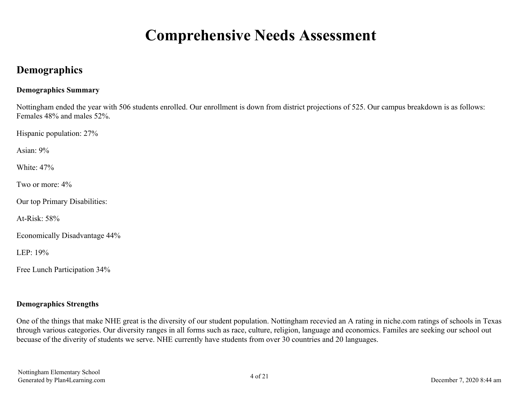# **Comprehensive Needs Assessment**

## <span id="page-3-0"></span>**Demographics**

#### **Demographics Summary**

Nottingham ended the year with 506 students enrolled. Our enrollment is down from district projections of 525. Our campus breakdown is as follows: Females 48% and males 52%.

Hispanic population: 27%

Asian:  $9\%$ 

White: 47%

Two or more: 4%

Our top Primary Disabilities:

At-Risk:  $58%$ 

Economically Disadvantage 44%

LEP $\cdot$  19%

Free Lunch Participation 34%

#### **Demographics Strengths**

One of the things that make NHE great is the diversity of our student population. Nottingham recevied an A rating in niche.com ratings of schools in Texas through various categories. Our diversity ranges in all forms such as race, culture, religion, language and economics. Familes are seeking our school out becuase of the diverity of students we serve. NHE currently have students from over 30 countries and 20 languages.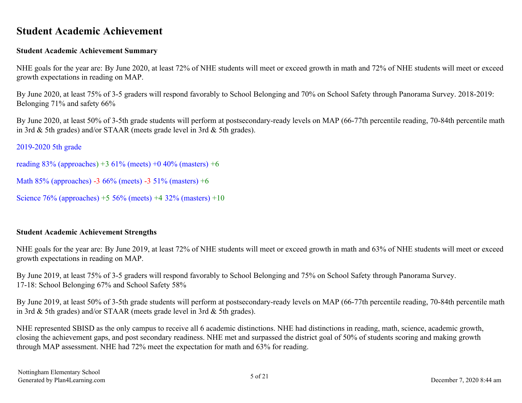## <span id="page-4-0"></span>**Student Academic Achievement**

#### **Student Academic Achievement Summary**

NHE goals for the year are: By June 2020, at least 72% of NHE students will meet or exceed growth in math and 72% of NHE students will meet or exceed growth expectations in reading on MAP.

By June 2020, at least 75% of 3-5 graders will respond favorably to School Belonging and 70% on School Safety through Panorama Survey. 2018-2019: Belonging 71% and safety 66%

By June 2020, at least 50% of 3-5th grade students will perform at postsecondary-ready levels on MAP (66-77th percentile reading, 70-84th percentile math in 3rd & 5th grades) and/or STAAR (meets grade level in 3rd & 5th grades).

2019-2020 5th grade

reading  $83\%$  (approaches) +3 61% (meets) +0 40% (masters) +6

```
Math 85% (approaches) -3 66% (meets) -3 51% (masters) +6
```
Science 76% (approaches) +5 56% (meets) +4 32% (masters) +10

### **Student Academic Achievement Strengths**

NHE goals for the year are: By June 2019, at least 72% of NHE students will meet or exceed growth in math and 63% of NHE students will meet or exceed growth expectations in reading on MAP.

By June 2019, at least 75% of 3-5 graders will respond favorably to School Belonging and 75% on School Safety through Panorama Survey. 17-18: School Belonging 67% and School Safety 58%

By June 2019, at least 50% of 3-5th grade students will perform at postsecondary-ready levels on MAP (66-77th percentile reading, 70-84th percentile math in 3rd & 5th grades) and/or STAAR (meets grade level in 3rd & 5th grades).

NHE represented SBISD as the only campus to receive all 6 academic distinctions. NHE had distinctions in reading, math, science, academic growth, closing the achievement gaps, and post secondary readiness. NHE met and surpassed the district goal of 50% of students scoring and making growth through MAP assessment. NHE had 72% meet the expectation for math and 63% for reading.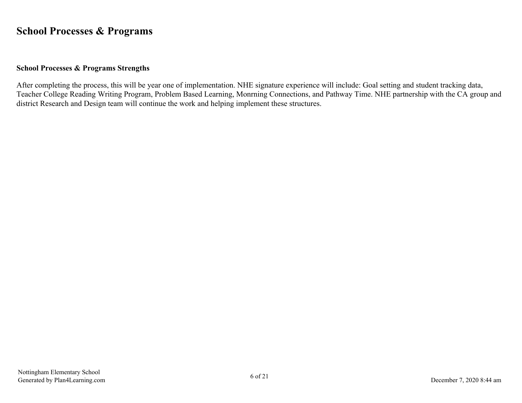## <span id="page-5-0"></span>**School Processes & Programs**

#### **School Processes & Programs Strengths**

After completing the process, this will be year one of implementation. NHE signature experience will include: Goal setting and student tracking data, Teacher College Reading Writing Program, Problem Based Learning, Monrning Connections, and Pathway Time. NHE partnership with the CA group and district Research and Design team will continue the work and helping implement these structures.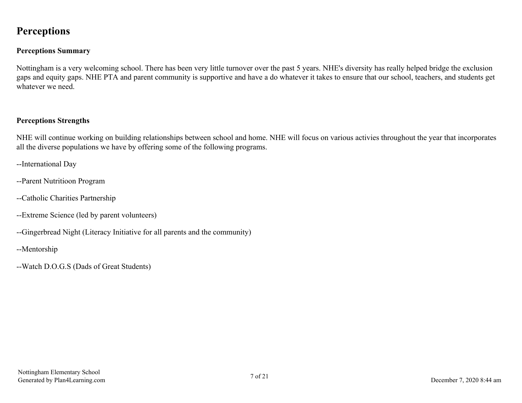## <span id="page-6-0"></span>**Perceptions**

### **Perceptions Summary**

Nottingham is a very welcoming school. There has been very little turnover over the past 5 years. NHE's diversity has really helped bridge the exclusion gaps and equity gaps. NHE PTA and parent community is supportive and have a do whatever it takes to ensure that our school, teachers, and students get whatever we need.

#### **Perceptions Strengths**

NHE will continue working on building relationships between school and home. NHE will focus on various activies throughout the year that incorporates all the diverse populations we have by offering some of the following programs.

- --International Day
- --Parent Nutritioon Program
- --Catholic Charities Partnership
- --Extreme Science (led by parent volunteers)
- --Gingerbread Night (Literacy Initiative for all parents and the community)
- --Mentorship
- --Watch D.O.G.S (Dads of Great Students)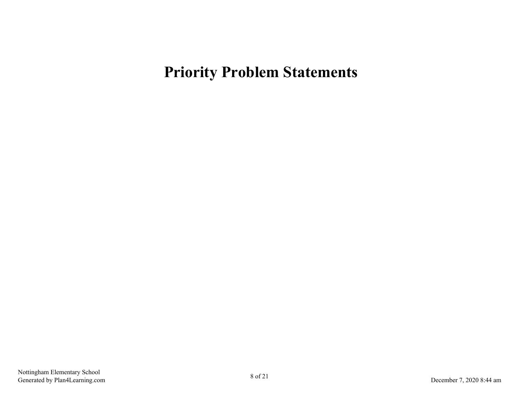# <span id="page-7-0"></span>**Priority Problem Statements**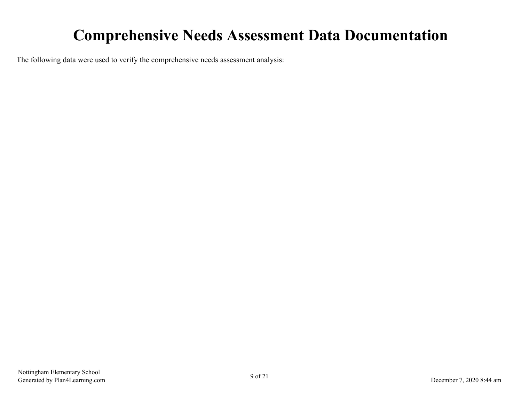# **Comprehensive Needs Assessment Data Documentation**

<span id="page-8-0"></span>The following data were used to verify the comprehensive needs assessment analysis: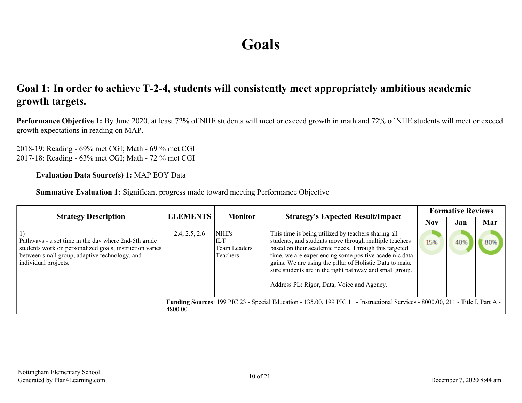# **Goals**

## <span id="page-9-0"></span>**Goal 1: In order to achieve T-2-4, students will consistently meet appropriately ambitious academic growth targets.**

**Performance Objective 1:** By June 2020, at least 72% of NHE students will meet or exceed growth in math and 72% of NHE students will meet or exceed growth expectations in reading on MAP.

2018-19: Reading - 69% met CGI; Math - 69 % met CGI 2017-18: Reading - 63% met CGI; Math - 72 % met CGI

#### **Evaluation Data Source(s) 1:** MAP EOY Data

**Summative Evaluation 1:** Significant progress made toward meeting Performance Objective

| <b>Strategy Description</b>                                                                                                                                                              | <b>ELEMENTS</b> | <b>Monitor</b>                                  | <b>Strategy's Expected Result/Impact</b>                                                                                                                                                                                                                                                                                                                                                          |            | <b>Formative Reviews</b> |     |
|------------------------------------------------------------------------------------------------------------------------------------------------------------------------------------------|-----------------|-------------------------------------------------|---------------------------------------------------------------------------------------------------------------------------------------------------------------------------------------------------------------------------------------------------------------------------------------------------------------------------------------------------------------------------------------------------|------------|--------------------------|-----|
|                                                                                                                                                                                          |                 |                                                 |                                                                                                                                                                                                                                                                                                                                                                                                   | <b>Nov</b> | Jan                      | Mar |
| Pathways - a set time in the day where 2nd-5th grade<br>students work on personalized goals; instruction varies<br>between small group, adaptive technology, and<br>individual projects. | 2.4, 2.5, 2.6   | NHE's<br><b>ILT</b><br>Team Leaders<br>Teachers | This time is being utilized by teachers sharing all<br>students, and students move through multiple teachers<br>based on their academic needs. Through this targeted<br>time, we are experiencing some positive academic data<br>gains. We are using the pillar of Holistic Data to make<br>sure students are in the right pathway and small group.<br>Address PL: Rigor, Data, Voice and Agency. | 15%        | 40%                      | 80% |
|                                                                                                                                                                                          | 4800.00         |                                                 | Funding Sources: 199 PIC 23 - Special Education - 135.00, 199 PIC 11 - Instructional Services - 8000.00, 211 - Title I, Part A -                                                                                                                                                                                                                                                                  |            |                          |     |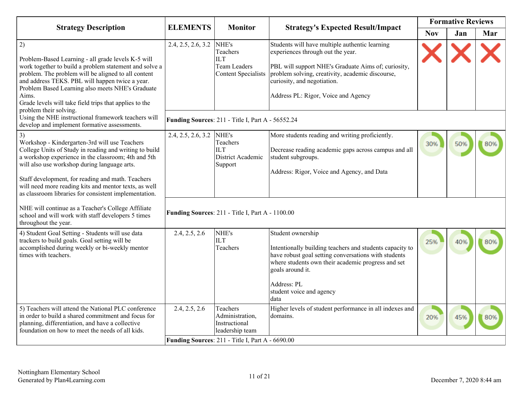|                                                                                                                                                                                                                                                                                                                                                                               | <b>ELEMENTS</b>          | <b>Monitor</b>                                                                           |                                                                                                                                                                                                                                                                      |            | <b>Formative Reviews</b> |     |
|-------------------------------------------------------------------------------------------------------------------------------------------------------------------------------------------------------------------------------------------------------------------------------------------------------------------------------------------------------------------------------|--------------------------|------------------------------------------------------------------------------------------|----------------------------------------------------------------------------------------------------------------------------------------------------------------------------------------------------------------------------------------------------------------------|------------|--------------------------|-----|
| <b>Strategy Description</b>                                                                                                                                                                                                                                                                                                                                                   |                          |                                                                                          | <b>Strategy's Expected Result/Impact</b>                                                                                                                                                                                                                             | <b>Nov</b> | Jan                      | Mar |
| 2)<br>Problem-Based Learning - all grade levels K-5 will<br>work together to build a problem statement and solve a<br>problem. The problem will be aligned to all content<br>and address TEKS. PBL will happen twice a year.<br>Problem Based Learning also meets NHE's Graduate<br>Aims.<br>Grade levels will take field trips that applies to the<br>problem their solving. | 2.4, 2.5, 2.6, 3.2       | NHE's<br>Teachers<br>$\overline{L}$<br><b>Team Leaders</b><br><b>Content Specialists</b> | Students will have multiple authentic learning<br>experiences through out the year.<br>PBL will support NHE's Graduate Aims of; curiosity,<br>problem solving, creativity, academic discourse,<br>curiosity, and negotiation.<br>Address PL: Rigor, Voice and Agency |            |                          |     |
| Using the NHE instructional framework teachers will<br>develop and implement formative assessments.                                                                                                                                                                                                                                                                           |                          | Funding Sources: 211 - Title I, Part A - 56552.24                                        |                                                                                                                                                                                                                                                                      |            |                          |     |
| 3)<br>Workshop - Kindergarten-3rd will use Teachers<br>College Units of Study in reading and writing to build<br>a workshop experience in the classroom; 4th and 5th<br>will also use workshop during language arts.<br>Staff development, for reading and math. Teachers                                                                                                     | 2.4, 2.5, 2.6, 3.2 NHE's | Teachers<br>ILТ<br>District Academic<br>Support                                          | More students reading and writing proficiently.<br>Decrease reading academic gaps across campus and all<br>student subgroups.<br>Address: Rigor, Voice and Agency, and Data                                                                                          | 30%        | 50%                      | 80% |
| will need more reading kits and mentor texts, as well<br>as classroom libraries for consistent implementation.                                                                                                                                                                                                                                                                |                          |                                                                                          |                                                                                                                                                                                                                                                                      |            |                          |     |
| NHE will continue as a Teacher's College Affiliate<br>school and will work with staff developers 5 times<br>throughout the year.                                                                                                                                                                                                                                              |                          | Funding Sources: 211 - Title I, Part A - 1100.00                                         |                                                                                                                                                                                                                                                                      |            |                          |     |
| 4) Student Goal Setting - Students will use data<br>trackers to build goals. Goal setting will be<br>accomplished during weekly or bi-weekly mentor<br>times with teachers.                                                                                                                                                                                                   | 2.4, 2.5, 2.6            | NHE's<br>ПT<br>Teachers                                                                  | Student ownership<br>Intentionally building teachers and students capacity to<br>have robust goal setting conversations with students<br>where students own their academic progress and set<br>goals around it.<br>Address: PL<br>student voice and agency<br>data   | 25%        | 40%                      |     |
| 5) Teachers will attend the National PLC conference<br>in order to build a shared commitment and focus for<br>planning, differentiation, and have a collective<br>foundation on how to meet the needs of all kids.                                                                                                                                                            | 2.4, 2.5, 2.6            | Teachers<br>Administration,<br>Instructional<br>leadership team                          | Higher levels of student performance in all indexes and<br>domains.                                                                                                                                                                                                  | 20%        | 45%                      | 80% |
|                                                                                                                                                                                                                                                                                                                                                                               |                          | Funding Sources: 211 - Title I, Part A - 6690.00                                         |                                                                                                                                                                                                                                                                      |            |                          |     |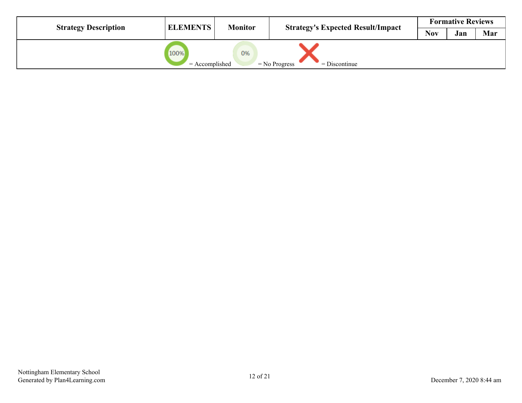| <b>Strategy Description</b> | <b>ELEMENTS</b>          | <b>Monitor</b> | <b>Strategy's Expected Result/Impact</b> |            | <b>Formative Reviews</b> |     |
|-----------------------------|--------------------------|----------------|------------------------------------------|------------|--------------------------|-----|
|                             |                          |                |                                          | <b>Nov</b> | Jan                      | Mar |
|                             | 100%<br>$=$ Accomplished | 0%             | $=$ No Progress<br>$=$ Discontinue       |            |                          |     |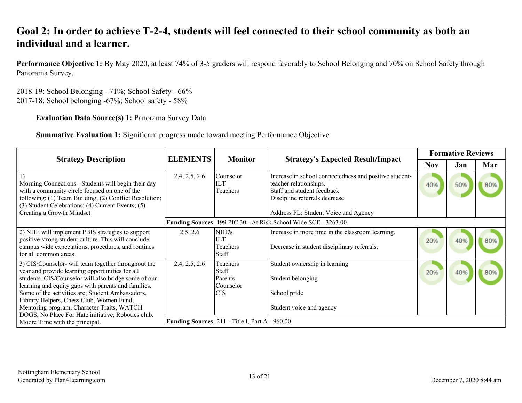## <span id="page-12-0"></span>**Goal 2: In order to achieve T-2-4, students will feel connected to their school community as both an individual and a learner.**

**Performance Objective 1:** By May 2020, at least 74% of 3-5 graders will respond favorably to School Belonging and 70% on School Safety through Panorama Survey.

2018-19: School Belonging - 71%; School Safety - 66% 2017-18: School belonging -67%; School safety - 58%

### **Evaluation Data Source(s) 1:** Panorama Survey Data

**Summative Evaluation 1:** Significant progress made toward meeting Performance Objective

| <b>Strategy Description</b>                                                                                                                                                                                                                                                                                                                                                                                               | <b>ELEMENTS</b> | <b>Monitor</b>                                                 | <b>Strategy's Expected Result/Impact</b>                                                                                                                                                |            | <b>Formative Reviews</b> |     |
|---------------------------------------------------------------------------------------------------------------------------------------------------------------------------------------------------------------------------------------------------------------------------------------------------------------------------------------------------------------------------------------------------------------------------|-----------------|----------------------------------------------------------------|-----------------------------------------------------------------------------------------------------------------------------------------------------------------------------------------|------------|--------------------------|-----|
|                                                                                                                                                                                                                                                                                                                                                                                                                           |                 |                                                                |                                                                                                                                                                                         | <b>Nov</b> | Jan                      | Mar |
| Morning Connections - Students will begin their day<br>with a community circle focused on one of the<br>following: (1) Team Building; (2) Conflict Resolution;<br>(3) Student Celebrations; (4) Current Events; (5)<br>Creating a Growth Mindset                                                                                                                                                                          | 2.4, 2.5, 2.6   | lCounselor<br>ШT<br>Teachers                                   | Increase in school connectedness and positive student-<br>teacher relationships.<br>Staff and student feedback<br>Discipline referrals decrease<br>Address PL: Student Voice and Agency | 40%        | 50%                      | 80% |
|                                                                                                                                                                                                                                                                                                                                                                                                                           |                 |                                                                | Funding Sources: 199 PIC 30 - At Risk School Wide SCE - 3263.00                                                                                                                         |            |                          |     |
| 2) NHE will implement PBIS strategies to support<br>positive strong student culture. This will conclude<br>campus wide expectations, procedures, and routines<br>for all common areas.                                                                                                                                                                                                                                    | 2.5, 2.6        | NHE's<br><b>ILT</b><br>Teachers<br>Staff                       | Increase in more time in the classroom learning.<br>Decrease in student disciplinary referrals.                                                                                         | 20%        | 40%                      |     |
| 3) CIS/Counselor- will team together throughout the<br>year and provide learning opportunities for all<br>students. CIS/Counselor will also bridge some of our<br>learning and equity gaps with parents and families.<br>Some of the activities are; Student Ambassadors,<br>Library Helpers, Chess Club, Women Fund,<br>Mentoring program, Character Traits, WATCH<br>DOGS, No Place For Hate initiative, Robotics club. | 2.4, 2.5, 2.6   | Teachers<br><b>Staff</b><br>Parents<br>Counselor<br><b>CIS</b> | Student ownership in learning<br>Student belonging<br>School pride<br>Student voice and agency                                                                                          | 20%        | 40%                      | 80% |
| Moore Time with the principal.                                                                                                                                                                                                                                                                                                                                                                                            |                 | <b>Funding Sources: 211 - Title I, Part A - 960.00</b>         |                                                                                                                                                                                         |            |                          |     |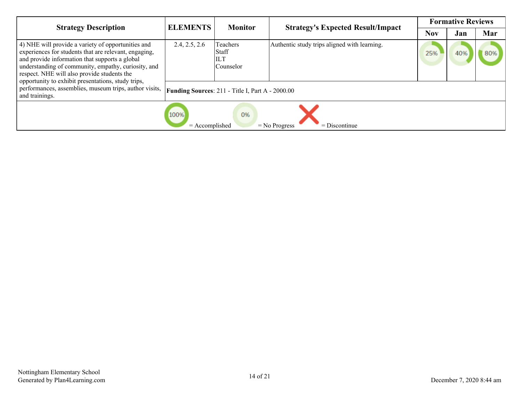| <b>Strategy Description</b>                                                                                                                                                                                                                                                                                               | <b>ELEMENTS</b>                                  | <b>Monitor</b>                               | <b>Strategy's Expected Result/Impact</b>     |     | <b>Formative Reviews</b> |     |  |
|---------------------------------------------------------------------------------------------------------------------------------------------------------------------------------------------------------------------------------------------------------------------------------------------------------------------------|--------------------------------------------------|----------------------------------------------|----------------------------------------------|-----|--------------------------|-----|--|
|                                                                                                                                                                                                                                                                                                                           |                                                  |                                              |                                              | Nov | Jan                      | Mar |  |
| 4) NHE will provide a variety of opportunities and<br>experiences for students that are relevant, engaging,<br>and provide information that supports a global<br>understanding of community, empathy, curiosity, and<br>respect. NHE will also provide students the<br>opportunity to exhibit presentations, study trips, | 2.4, 2.5, 2.6                                    | Teachers<br>Staff<br>ILT<br><b>Counselor</b> | Authentic study trips aligned with learning. | 25% |                          |     |  |
| performances, assemblies, museum trips, author visits,<br>and trainings.                                                                                                                                                                                                                                                  | Funding Sources: 211 - Title I, Part A - 2000.00 |                                              |                                              |     |                          |     |  |
|                                                                                                                                                                                                                                                                                                                           | 100%<br>$=$ Accomplished                         | 0%                                           | $=$ Discontinue<br>$=$ No Progress           |     |                          |     |  |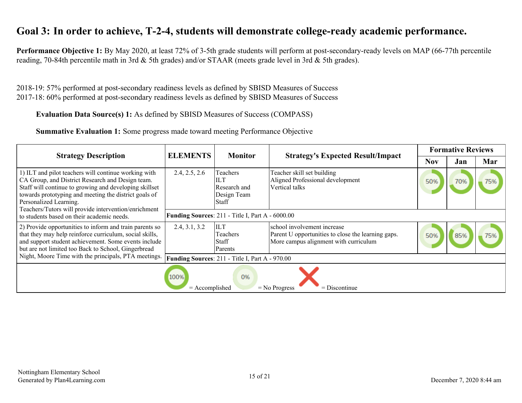## <span id="page-14-0"></span>**Goal 3: In order to achieve, T-2-4, students will demonstrate college-ready academic performance.**

**Performance Objective 1:** By May 2020, at least 72% of 3-5th grade students will perform at post-secondary-ready levels on MAP (66-77th percentile reading, 70-84th percentile math in 3rd & 5th grades) and/or STAAR (meets grade level in 3rd & 5th grades).

2018-19: 57% performed at post-secondary readiness levels as defined by SBISD Measures of Success 2017-18: 60% performed at post-secondary readiness levels as defined by SBISD Measures of Success

**Evaluation Data Source(s) 1:** As defined by SBISD Measures of Success (COMPASS)

**Summative Evaluation 1:** Some progress made toward meeting Performance Objective

| <b>Strategy Description</b>                                                                                                                                                                                                                                                                                   | <b>ELEMENTS</b>          | <b>Monitor</b>                                                        | <b>Strategy's Expected Result/Impact</b>                                                                                   |            | <b>Formative Reviews</b> |     |
|---------------------------------------------------------------------------------------------------------------------------------------------------------------------------------------------------------------------------------------------------------------------------------------------------------------|--------------------------|-----------------------------------------------------------------------|----------------------------------------------------------------------------------------------------------------------------|------------|--------------------------|-----|
|                                                                                                                                                                                                                                                                                                               |                          |                                                                       |                                                                                                                            | <b>Nov</b> | Jan                      | Mar |
| 1) ILT and pilot teachers will continue working with<br>CA Group, and District Research and Design team.<br>Staff will continue to growing and developing skillset<br>towards prototyping and meeting the district goals of<br>Personalized Learning.<br>Teachers/Tutors will provide intervention/enrichment | 2.4, 2.5, 2.6            | Teachers<br><b>ILT</b><br>Research and<br>Design Team<br><b>Staff</b> | Teacher skill set building<br>Aligned Professional development<br>Vertical talks                                           | 50%        |                          |     |
| to students based on their academic needs.                                                                                                                                                                                                                                                                    |                          | Funding Sources: 211 - Title I, Part A - 6000.00                      |                                                                                                                            |            |                          |     |
| 2) Provide opportunities to inform and train parents so<br>that they may help reinforce curriculum, social skills,<br>and support student achievement. Some events include<br>but are not limited too Back to School, Gingerbread                                                                             | 2.4, 3.1, 3.2            | <b>ILT</b><br>Teachers<br>Staff<br>Parents                            | school involvement increase<br>Parent U opportunities to close the learning gaps.<br>More campus alignment with curriculum | 50%        |                          |     |
| Night, Moore Time with the principals, PTA meetings.                                                                                                                                                                                                                                                          |                          | Funding Sources: 211 - Title I, Part A - 970.00                       |                                                                                                                            |            |                          |     |
|                                                                                                                                                                                                                                                                                                               | 100%<br>$=$ Accomplished | 0%                                                                    | $=$ Discontinue<br>$=$ No Progress                                                                                         |            |                          |     |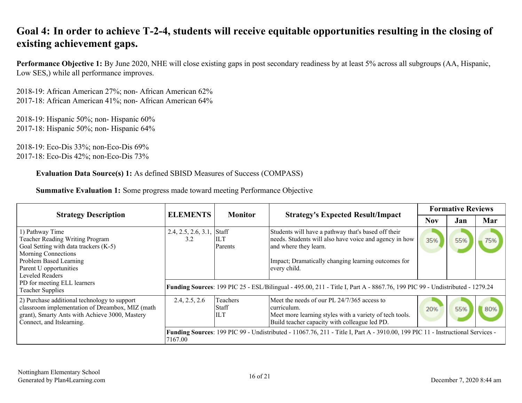## <span id="page-15-0"></span>**Goal 4: In order to achieve T-2-4, students will receive equitable opportunities resulting in the closing of existing achievement gaps.**

**Performance Objective 1:** By June 2020, NHE will close existing gaps in post secondary readiness by at least 5% across all subgroups (AA, Hispanic, Low SES,) while all performance improves.

2018-19: African American 27%; non- African American 62% 2017-18: African American 41%; non- African American 64%

2018-19: Hispanic 50%; non- Hispanic 60% 2017-18: Hispanic 50%; non- Hispanic 64%

2018-19: Eco-Dis 33%; non-Eco-Dis 69% 2017-18: Eco-Dis 42%; non-Eco-Dis 73%

**Evaluation Data Source(s) 1:** As defined SBISD Measures of Success (COMPASS)

| <b>Strategy Description</b>                                                                                                                                                                      | <b>ELEMENTS</b>            | <b>Monitor</b>                   | <b>Strategy's Expected Result/Impact</b>                                                                                                                                                                      | <b>Formative Reviews</b> |     |     |
|--------------------------------------------------------------------------------------------------------------------------------------------------------------------------------------------------|----------------------------|----------------------------------|---------------------------------------------------------------------------------------------------------------------------------------------------------------------------------------------------------------|--------------------------|-----|-----|
|                                                                                                                                                                                                  |                            |                                  |                                                                                                                                                                                                               | <b>Nov</b>               | Jan | Mar |
| 1) Pathway Time<br>Teacher Reading Writing Program<br>Goal Setting with data trackers (K-5)<br>Morning Connections<br>Problem Based Learning<br>Parent U opportunities<br><b>Leveled Readers</b> | 2.4, 2.5, 2.6, 3.1,<br>3.2 | Staff<br>IILT<br><b>Parents</b>  | Students will have a pathway that's based off their<br>needs. Students will also have voice and agency in how<br>and where they learn.<br>Impact; Dramatically changing learning outcomes for<br>every child. | 35%                      | 55% |     |
| PD for meeting ELL learners<br><b>Teacher Supplies</b>                                                                                                                                           |                            |                                  | Funding Sources: 199 PIC 25 - ESL/Bilingual - 495.00, 211 - Title I, Part A - 8867.76, 199 PIC 99 - Undistributed - 1279.24                                                                                   |                          |     |     |
| 2) Purchase additional technology to support<br>classroom implementation of Dreambox, MIZ (math<br>grant), Smarty Ants with Achieve 3000, Mastery<br>Connect, and Itslearning.                   | 2.4, 2.5, 2.6              | Teachers<br> Staff<br><b>ILT</b> | Meet the needs of our PL 24/7/365 access to<br>curriculum.<br>Meet more learning styles with a variety of tech tools.<br>Build teacher capacity with colleague led PD.                                        | 20%                      | 55% |     |
|                                                                                                                                                                                                  | 7167.00                    |                                  | Funding Sources: 199 PIC 99 - Undistributed - 11067.76, 211 - Title I, Part A - 3910.00, 199 PIC 11 - Instructional Services -                                                                                |                          |     |     |

**Summative Evaluation 1:** Some progress made toward meeting Performance Objective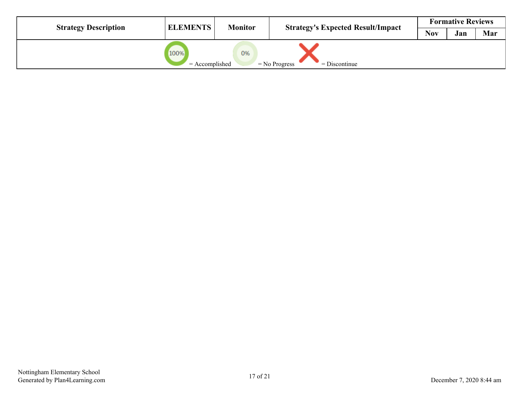| <b>Strategy Description</b> | <b>ELEMENTS</b>          | <b>Monitor</b> | <b>Strategy's Expected Result/Impact</b> |            | <b>Formative Reviews</b> |     |
|-----------------------------|--------------------------|----------------|------------------------------------------|------------|--------------------------|-----|
|                             |                          |                |                                          | <b>Nov</b> | Jan                      | Mar |
|                             | 100%<br>$=$ Accomplished | 0%             | $=$ No Progress<br>$=$ Discontinue       |            |                          |     |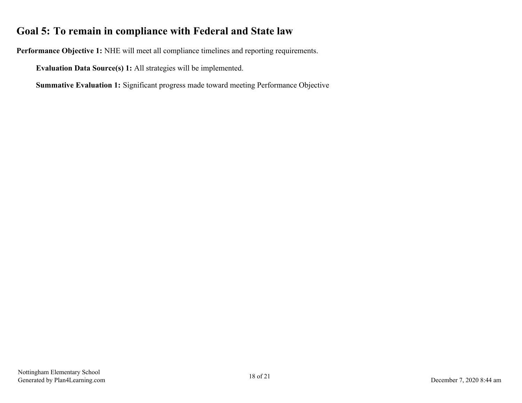## <span id="page-17-0"></span>**Goal 5: To remain in compliance with Federal and State law**

**Performance Objective 1:** NHE will meet all compliance timelines and reporting requirements.

**Evaluation Data Source(s) 1:** All strategies will be implemented.

**Summative Evaluation 1:** Significant progress made toward meeting Performance Objective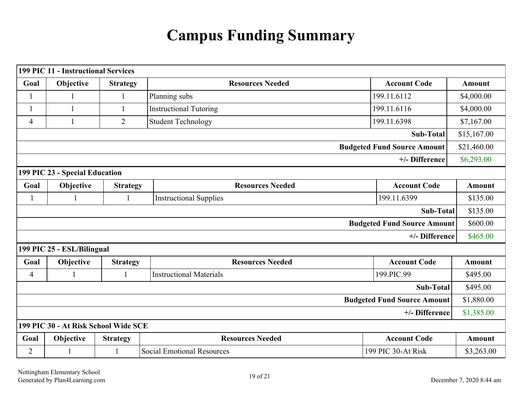# **Campus Funding Summary**

<span id="page-18-0"></span>

|                                      | <b>199 PIC 11 - Instructional Services</b> |                 |                                   |                                    |               |  |
|--------------------------------------|--------------------------------------------|-----------------|-----------------------------------|------------------------------------|---------------|--|
| Goal                                 | Objective                                  | <b>Strategy</b> | <b>Resources Needed</b>           | <b>Account Code</b>                | <b>Amount</b> |  |
|                                      |                                            | $\mathbf{1}$    | Planning subs                     | 199.11.6112                        | \$4,000.00    |  |
|                                      |                                            |                 | <b>Instructional Tutoring</b>     | 199.11.6116                        | \$4,000.00    |  |
| 4                                    |                                            | $\overline{2}$  | <b>Student Technology</b>         | 199.11.6398                        | \$7,167.00    |  |
|                                      |                                            |                 |                                   | Sub-Total                          | \$15,167.00   |  |
|                                      |                                            |                 |                                   | <b>Budgeted Fund Source Amount</b> | \$21,460.00   |  |
|                                      |                                            |                 |                                   | +/- Difference                     | \$6,293.00    |  |
|                                      | 199 PIC 23 - Special Education             |                 |                                   |                                    |               |  |
| Goal                                 | Objective                                  | <b>Strategy</b> | <b>Resources Needed</b>           | <b>Account Code</b>                | <b>Amount</b> |  |
| $\mathbf{1}$                         |                                            | 1               | <b>Instructional Supplies</b>     | 199.11.6399                        | \$135.00      |  |
|                                      |                                            |                 |                                   | <b>Sub-Total</b>                   | \$135.00      |  |
|                                      |                                            |                 |                                   | <b>Budgeted Fund Source Amount</b> | \$600.00      |  |
|                                      |                                            |                 |                                   | +/- Difference                     | \$465.00      |  |
|                                      | 199 PIC 25 - ESL/Bilingual                 |                 |                                   |                                    |               |  |
| Goal                                 | Objective                                  | <b>Strategy</b> | <b>Resources Needed</b>           | <b>Account Code</b>                | <b>Amount</b> |  |
| $\overline{4}$                       | 1                                          |                 | <b>Instructional Materials</b>    | 199.PIC.99                         | \$495.00      |  |
|                                      |                                            |                 |                                   | <b>Sub-Total</b>                   | \$495.00      |  |
|                                      |                                            |                 |                                   | <b>Budgeted Fund Source Amount</b> | \$1,880.00    |  |
|                                      |                                            |                 |                                   | +/- Difference                     | \$1,385.00    |  |
| 199 PIC 30 - At Risk School Wide SCE |                                            |                 |                                   |                                    |               |  |
| Goal                                 | Objective                                  | <b>Strategy</b> | <b>Resources Needed</b>           | <b>Account Code</b>                | <b>Amount</b> |  |
| $\overline{2}$                       |                                            |                 | <b>Social Emotional Resources</b> | 199 PIC 30-At Risk                 | \$3,263.00    |  |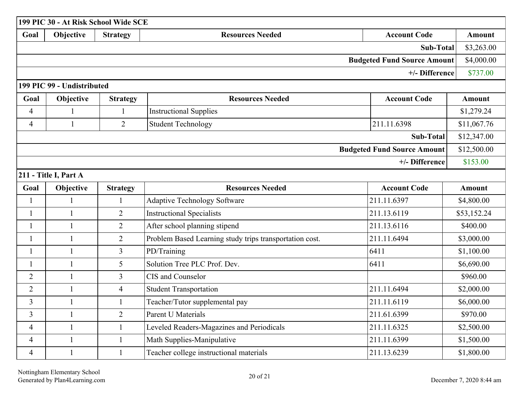|                                    | 199 PIC 30 - At Risk School Wide SCE |                 |                                                         |                                    |               |  |  |  |  |  |  |
|------------------------------------|--------------------------------------|-----------------|---------------------------------------------------------|------------------------------------|---------------|--|--|--|--|--|--|
| Goal                               | Objective                            | <b>Strategy</b> | <b>Resources Needed</b>                                 | <b>Account Code</b>                | <b>Amount</b> |  |  |  |  |  |  |
|                                    |                                      |                 |                                                         | <b>Sub-Total</b>                   | \$3,263.00    |  |  |  |  |  |  |
| <b>Budgeted Fund Source Amount</b> |                                      |                 |                                                         |                                    |               |  |  |  |  |  |  |
|                                    | +/- Difference<br>\$737.00           |                 |                                                         |                                    |               |  |  |  |  |  |  |
|                                    | 199 PIC 99 - Undistributed           |                 |                                                         |                                    |               |  |  |  |  |  |  |
| Goal                               | Objective                            | <b>Strategy</b> | <b>Resources Needed</b>                                 | <b>Account Code</b>                | <b>Amount</b> |  |  |  |  |  |  |
| $\overline{4}$                     | $\mathbf{1}$                         | 1               | <b>Instructional Supplies</b>                           |                                    | \$1,279.24    |  |  |  |  |  |  |
| $\overline{4}$                     | $\mathbf{1}$                         | $\overline{2}$  | <b>Student Technology</b>                               | 211.11.6398                        | \$11,067.76   |  |  |  |  |  |  |
|                                    |                                      |                 |                                                         | <b>Sub-Total</b>                   | \$12,347.00   |  |  |  |  |  |  |
|                                    |                                      |                 |                                                         | <b>Budgeted Fund Source Amount</b> | \$12,500.00   |  |  |  |  |  |  |
|                                    |                                      |                 |                                                         | +/- Difference                     | \$153.00      |  |  |  |  |  |  |
|                                    | 211 - Title I, Part A                |                 |                                                         |                                    |               |  |  |  |  |  |  |
| Goal                               | Objective                            | <b>Strategy</b> | <b>Resources Needed</b>                                 | <b>Account Code</b>                | <b>Amount</b> |  |  |  |  |  |  |
| $\mathbf{1}$                       | $\mathbf{1}$                         | $\mathbf{1}$    | <b>Adaptive Technology Software</b>                     | 211.11.6397                        | \$4,800.00    |  |  |  |  |  |  |
| $\mathbf{1}$                       | $\mathbf{1}$                         | $\overline{2}$  | <b>Instructional Specialists</b>                        | 211.13.6119                        | \$53,152.24   |  |  |  |  |  |  |
| $\mathbf{1}$                       | $\mathbf{1}$                         | $\overline{2}$  | After school planning stipend                           | 211.13.6116                        | \$400.00      |  |  |  |  |  |  |
| 1                                  | $\mathbf{1}$                         | $\overline{2}$  | Problem Based Learning study trips transportation cost. | 211.11.6494                        | \$3,000.00    |  |  |  |  |  |  |
| $\mathbf{1}$                       | $\mathbf{1}$                         | $\overline{3}$  | PD/Training                                             | 6411                               | \$1,100.00    |  |  |  |  |  |  |
| -1                                 | $\mathbf{1}$                         | 5               | Solution Tree PLC Prof. Dev.                            | 6411                               | \$6,690.00    |  |  |  |  |  |  |
| $\overline{2}$                     | $\mathbf{1}$                         | $\overline{3}$  | CIS and Counselor                                       |                                    | \$960.00      |  |  |  |  |  |  |
| $\overline{2}$                     | $\mathbf{1}$                         | $\overline{4}$  | <b>Student Transportation</b>                           | 211.11.6494                        | \$2,000.00    |  |  |  |  |  |  |
| 3                                  | $\mathbf{1}$                         | $\mathbf{1}$    | Teacher/Tutor supplemental pay                          | 211.11.6119                        | \$6,000.00    |  |  |  |  |  |  |
| $\overline{3}$                     | $\mathbf{1}$                         | $\overline{2}$  | <b>Parent U Materials</b>                               | 211.61.6399                        | \$970.00      |  |  |  |  |  |  |
| $\overline{4}$                     | $\mathbf{1}$                         | $\mathbf{1}$    | Leveled Readers-Magazines and Periodicals               | 211.11.6325                        | \$2,500.00    |  |  |  |  |  |  |
| $\overline{4}$                     | $\mathbf{1}$                         | $\mathbf{1}$    | Math Supplies-Manipulative                              | 211.11.6399                        | \$1,500.00    |  |  |  |  |  |  |
| 4                                  | $\mathbf{1}$                         | $\mathbf{1}$    | Teacher college instructional materials                 | 211.13.6239                        | \$1,800.00    |  |  |  |  |  |  |